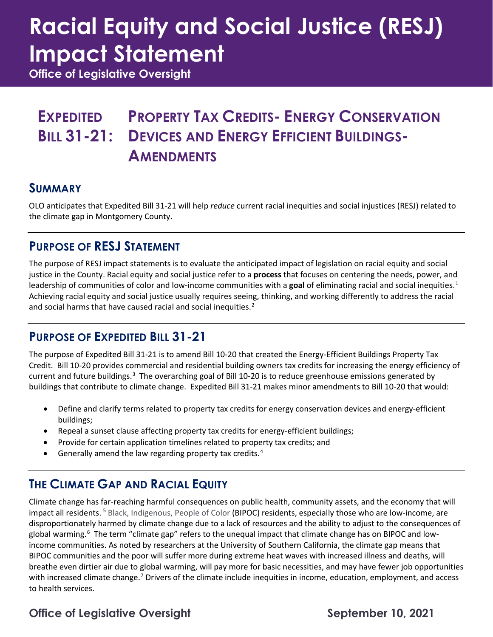# **Racial Equity and Social Justice (RESJ) Impact Statement**

**Office of Legislative Oversight**

#### **EXPEDITED BILL 31-21: PROPERTY TAX CREDITS- ENERGY CONSERVATION DEVICES AND ENERGY EFFICIENT BUILDINGS-AMENDMENTS**

#### **SUMMARY**

OLO anticipates that Expedited Bill 31-21 will help *reduce* current racial inequities and social injustices (RESJ) related to the climate gap in Montgomery County.

### **PURPOSE OF RESJ STATEMENT**

The purpose of RESJ impact statements is to evaluate the anticipated impact of legislation on racial equity and social justice in the County. Racial equity and social justice refer to a **process** that focuses on centering the needs, power, and leadership of communities of color and low-income communities with a **goal** of eliminating racial and social inequities.[1](#page-3-0) Achieving racial equity and social justice usually requires seeing, thinking, and working differently to address the racial and social harms that have caused racial and social inequities.<sup>[2](#page-3-1)</sup>

### **PURPOSE OF EXPEDITED BILL 31-21**

The purpose of Expedited Bill 31-21 is to amend Bill 10-20 that created the Energy-Efficient Buildings Property Tax Credit. Bill 10-20 provides commercial and residential building owners tax credits for increasing the energy efficiency of current and future buildings.<sup>[3](#page-3-2)</sup> The overarching goal of Bill 10-20 is to reduce greenhouse emissions generated by buildings that contribute to climate change. Expedited Bill 31-21 makes minor amendments to Bill 10-20 that would:

- Define and clarify terms related to property tax credits for energy conservation devices and energy-efficient buildings;
- Repeal a sunset clause affecting property tax credits for energy-efficient buildings;
- Provide for certain application timelines related to property tax credits; and
- Generally amend the law regarding property tax credits.<sup>[4](#page-3-3)</sup>

### **THE CLIMATE GAP AND RACIAL EQUITY**

Climate change has far-reaching harmful consequences on public health, community assets, and the economy that will impact all residents.<sup>[5](#page-3-4)</sup> Black, Indigenous, People of Color (BIPOC) residents, especially those who are low-income, are disproportionately harmed by climate change due to a lack of resources and the ability to adjust to the consequences of global warming. [6](#page-3-5) The term "climate gap" refers to the unequal impact that climate change has on BIPOC and lowincome communities. As noted by researchers at the University of Southern California, the climate gap means that BIPOC communities and the poor will suffer more during extreme heat waves with increased illness and deaths, will breathe even dirtier air due to global warming, will pay more for basic necessities, and may have fewer job opportunities with increased climate change.<sup>[7](#page-3-6)</sup> Drivers of the climate include inequities in income, education, employment, and access to health services.

### Office of Legislative Oversight **September 10, 2021**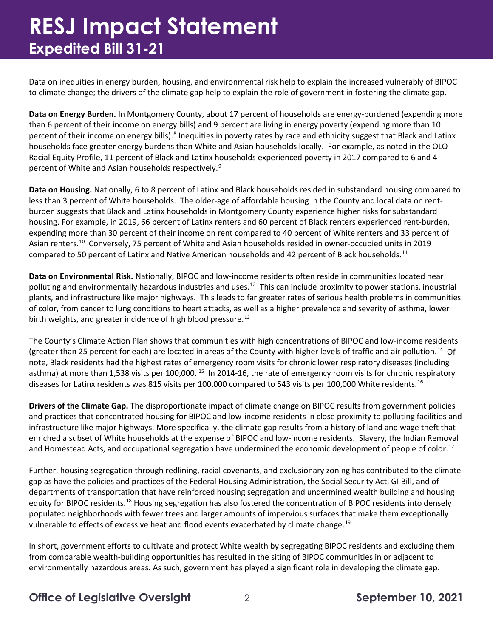### **RESJ Impact Statement Expedited Bill 31-21**

Data on inequities in energy burden, housing, and environmental risk help to explain the increased vulnerably of BIPOC to climate change; the drivers of the climate gap help to explain the role of government in fostering the climate gap.

**Data on Energy Burden.** In Montgomery County, about 17 percent of households are energy-burdened (expending more than 6 percent of their income on energy bills) and 9 percent are living in energy poverty (expending more than 10 percent of their income on energy bills).<sup>[8](#page-3-7)</sup> Inequities in poverty rates by race and ethnicity suggest that Black and Latinx households face greater energy burdens than White and Asian households locally. For example, as noted in the OLO Racial Equity Profile, 11 percent of Black and Latinx households experienced poverty in 2017 compared to 6 and 4 percent of White and Asian households respectively. [9](#page-3-8)

**Data on Housing.** Nationally, 6 to 8 percent of Latinx and Black households resided in substandard housing compared to less than 3 percent of White households. The older-age of affordable housing in the County and local data on rentburden suggests that Black and Latinx households in Montgomery County experience higher risks for substandard housing. For example, in 2019, 66 percent of Latinx renters and 60 percent of Black renters experienced rent-burden, expending more than 30 percent of their income on rent compared to 40 percent of White renters and 33 percent of Asian renters[.10](#page-3-9) Conversely, 75 percent of White and Asian households resided in owner-occupied units in 2019 compared to 50 percent of Latinx and Native American households and 42 percent of Black households.<sup>[11](#page-3-10)</sup>

**Data on Environmental Risk.** Nationally, BIPOC and low-income residents often reside in communities located near polluting and environmentally hazardous industries and uses.<sup>12</sup> This can include proximity to power stations, industrial plants, and infrastructure like major highways. This leads to far greater rates of serious health problems in communities of color, from cancer to lung conditions to heart attacks, as well as a higher prevalence and severity of asthma, lower birth weights, and greater incidence of high blood pressure.<sup>[13](#page-3-12)</sup>

The County's Climate Action Plan shows that communities with high concentrations of BIPOC and low-income residents (greater than 25 percent for each) are located in areas of the County with higher levels of traffic and air pollution.<sup>[14](#page-3-13)</sup> Of note, Black residents had the highest rates of emergency room visits for chronic lower respiratory diseases (including asthma) at more than 1,538 visits per 100,000.<sup>15</sup> In 2014-16, the rate of emergency room visits for chronic respiratory diseases for Latinx residents was 815 visits per 100,000 compared to 543 visits per 100,000 White residents.<sup>[16](#page-3-15)</sup>

**Drivers of the Climate Gap.** The disproportionate impact of climate change on BIPOC results from government policies and practices that concentrated housing for BIPOC and low-income residents in close proximity to polluting facilities and infrastructure like major highways. More specifically, the climate gap results from a history of land and wage theft that enriched a subset of White households at the expense of BIPOC and low-income residents. Slavery, the Indian Removal and Homestead Acts, and occupational segregation have undermined the economic development of people of color.<sup>[17](#page-3-16)</sup>

Further, housing segregation through redlining, racial covenants, and exclusionary zoning has contributed to the climate gap as have the policies and practices of the Federal Housing Administration, the Social Security Act, GI Bill, and of departments of transportation that have reinforced housing segregation and undermined wealth building and housing equity for BIPOC residents.<sup>[18](#page-3-17)</sup> Housing segregation has also fostered the concentration of BIPOC residents into densely populated neighborhoods with fewer trees and larger amounts of impervious surfaces that make them exceptionally vulnerable to effects of excessive heat and flood events exacerbated by climate change.<sup>[19](#page-3-18)</sup>

In short, government efforts to cultivate and protect White wealth by segregating BIPOC residents and excluding them from comparable wealth-building opportunities has resulted in the siting of BIPOC communities in or adjacent to environmentally hazardous areas. As such, government has played a significant role in developing the climate gap.

**Office of Legislative Oversight** 2 **September 10, 2021**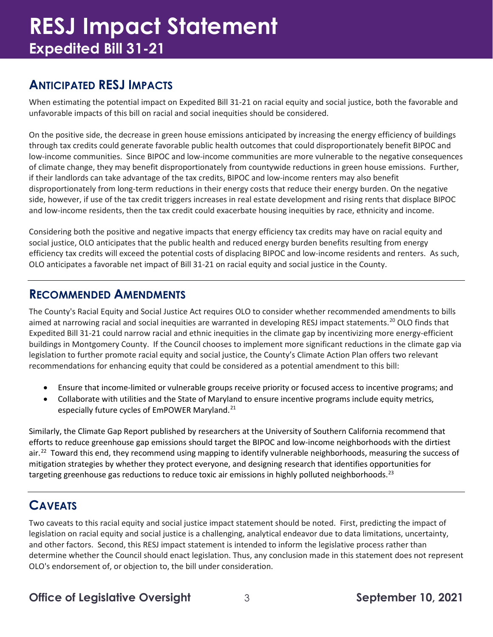## **RESJ Impact Statement Expedited Bill 31-21**

### **ANTICIPATED RESJ IMPACTS**

When estimating the potential impact on Expedited Bill 31-21 on racial equity and social justice, both the favorable and unfavorable impacts of this bill on racial and social inequities should be considered.

On the positive side, the decrease in green house emissions anticipated by increasing the energy efficiency of buildings through tax credits could generate favorable public health outcomes that could disproportionately benefit BIPOC and low-income communities. Since BIPOC and low-income communities are more vulnerable to the negative consequences of climate change, they may benefit disproportionately from countywide reductions in green house emissions. Further, if their landlords can take advantage of the tax credits, BIPOC and low-income renters may also benefit disproportionately from long-term reductions in their energy costs that reduce their energy burden. On the negative side, however, if use of the tax credit triggers increases in real estate development and rising rents that displace BIPOC and low-income residents, then the tax credit could exacerbate housing inequities by race, ethnicity and income.

Considering both the positive and negative impacts that energy efficiency tax credits may have on racial equity and social justice, OLO anticipates that the public health and reduced energy burden benefits resulting from energy efficiency tax credits will exceed the potential costs of displacing BIPOC and low-income residents and renters. As such, OLO anticipates a favorable net impact of Bill 31-21 on racial equity and social justice in the County.

#### **RECOMMENDED AMENDMENTS**

The County's Racial Equity and Social Justice Act requires OLO to consider whether recommended amendments to bills aimed at narrowing racial and social inequities are warranted in developing RESJ impact statements.<sup>[20](#page-3-19)</sup> OLO finds that Expedited Bill 31-21 could narrow racial and ethnic inequities in the climate gap by incentivizing more energy-efficient buildings in Montgomery County. If the Council chooses to implement more significant reductions in the climate gap via legislation to further promote racial equity and social justice, the County's Climate Action Plan offers two relevant recommendations for enhancing equity that could be considered as a potential amendment to this bill:

- Ensure that income-limited or vulnerable groups receive priority or focused access to incentive programs; and
- Collaborate with utilities and the State of Maryland to ensure incentive programs include equity metrics, especially future cycles of EmPOWER Maryland.<sup>[21](#page-3-20)</sup>

Similarly, the Climate Gap Report published by researchers at the University of Southern California recommend that efforts to reduce greenhouse gap emissions should target the BIPOC and low-income neighborhoods with the dirtiest air.<sup>22</sup> Toward this end, they recommend using mapping to identify vulnerable neighborhoods, measuring the success of mitigation strategies by whether they protect everyone, and designing research that identifies opportunities for targeting greenhouse gas reductions to reduce toxic air emissions in highly polluted neighborhoods.<sup>23</sup>

### **CAVEATS**

Two caveats to this racial equity and social justice impact statement should be noted. First, predicting the impact of legislation on racial equity and social justice is a challenging, analytical endeavor due to data limitations, uncertainty, and other factors. Second, this RESJ impact statement is intended to inform the legislative process rather than determine whether the Council should enact legislation. Thus, any conclusion made in this statement does not represent OLO's endorsement of, or objection to, the bill under consideration.